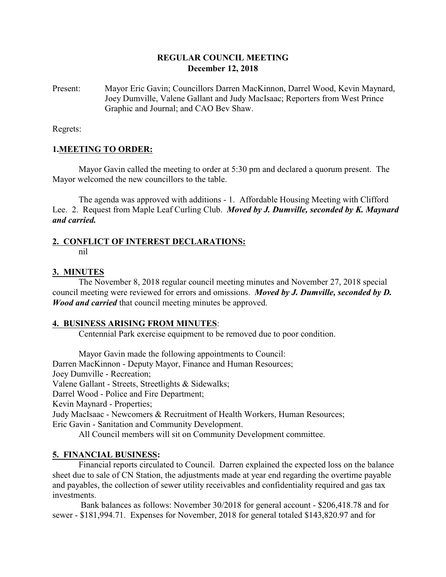### **REGULAR COUNCIL MEETING December 12, 2018**

Present: Mayor Eric Gavin; Councillors Darren MacKinnon, Darrel Wood, Kevin Maynard, Joey Dumville, Valene Gallant and Judy MacIsaac; Reporters from West Prince Graphic and Journal; and CAO Bev Shaw.

Regrets:

### **1.MEETING TO ORDER:**

Mayor Gavin called the meeting to order at 5:30 pm and declared a quorum present. The Mayor welcomed the new councillors to the table.

The agenda was approved with additions - 1. Affordable Housing Meeting with Clifford Lee. 2. Request from Maple Leaf Curling Club. *Moved by J. Dumville, seconded by K. Maynard and carried.*

## **2. CONFLICT OF INTEREST DECLARATIONS:**

nil

### **3. MINUTES**

The November 8, 2018 regular council meeting minutes and November 27, 2018 special council meeting were reviewed for errors and omissions. *Moved by J. Dumville, seconded by D. Wood and carried* that council meeting minutes be approved.

### **4. BUSINESS ARISING FROM MINUTES**:

Centennial Park exercise equipment to be removed due to poor condition.

Mayor Gavin made the following appointments to Council: Darren MacKinnon - Deputy Mayor, Finance and Human Resources; Joey Dumville - Recreation; Valene Gallant - Streets, Streetlights & Sidewalks; Darrel Wood - Police and Fire Department; Kevin Maynard - Properties; Judy MacIsaac - Newcomers & Recruitment of Health Workers, Human Resources; Eric Gavin - Sanitation and Community Development.

All Council members will sit on Community Development committee.

### **5. FINANCIAL BUSINESS:**

Financial reports circulated to Council. Darren explained the expected loss on the balance sheet due to sale of CN Station, the adjustments made at year end regarding the overtime payable and payables, the collection of sewer utility receivables and confidentiality required and gas tax investments.

 Bank balances as follows: November 30/2018 for general account - \$206,418.78 and for sewer - \$181,994.71. Expenses for November, 2018 for general totaled \$143,820.97 and for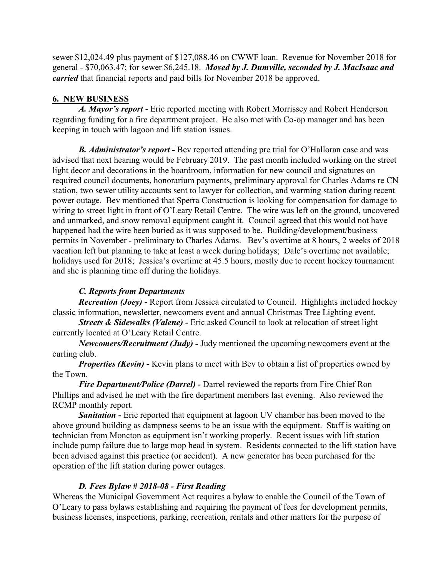sewer \$12,024.49 plus payment of \$127,088.46 on CWWF loan. Revenue for November 2018 for general - \$70,063.47; for sewer \$6,245.18. *Moved by J. Dumville, seconded by J. MacIsaac and carried* that financial reports and paid bills for November 2018 be approved.

# **6. NEW BUSINESS**

*A. Mayor's report* - Eric reported meeting with Robert Morrissey and Robert Henderson regarding funding for a fire department project. He also met with Co-op manager and has been keeping in touch with lagoon and lift station issues.

*B. Administrator's report -* Bev reported attending pre trial for O'Halloran case and was advised that next hearing would be February 2019. The past month included working on the street light decor and decorations in the boardroom, information for new council and signatures on required council documents, honorarium payments, preliminary approval for Charles Adams re CN station, two sewer utility accounts sent to lawyer for collection, and warming station during recent power outage. Bev mentioned that Sperra Construction is looking for compensation for damage to wiring to street light in front of O'Leary Retail Centre. The wire was left on the ground, uncovered and unmarked, and snow removal equipment caught it. Council agreed that this would not have happened had the wire been buried as it was supposed to be. Building/development/business permits in November - preliminary to Charles Adams. Bev's overtime at 8 hours, 2 weeks of 2018 vacation left but planning to take at least a week during holidays; Dale's overtime not available; holidays used for 2018; Jessica's overtime at 45.5 hours, mostly due to recent hockey tournament and she is planning time off during the holidays.

# *C. Reports from Departments*

*Recreation (Joey)* - Report from Jessica circulated to Council. Highlights included hockey classic information, newsletter, newcomers event and annual Christmas Tree Lighting event.

*Streets & Sidewalks (Valene) -* Eric asked Council to look at relocation of street light currently located at O'Leary Retail Centre.

*Newcomers/Recruitment (Judy) -* Judy mentioned the upcoming newcomers event at the curling club.

*Properties (Kevin)* - Kevin plans to meet with Bev to obtain a list of properties owned by the Town.

*Fire Department/Police (Darrel) -* Darrel reviewed the reports from Fire Chief Ron Phillips and advised he met with the fire department members last evening. Also reviewed the RCMP monthly report.

*Sanitation -* Eric reported that equipment at lagoon UV chamber has been moved to the above ground building as dampness seems to be an issue with the equipment. Staff is waiting on technician from Moncton as equipment isn't working properly. Recent issues with lift station include pump failure due to large mop head in system. Residents connected to the lift station have been advised against this practice (or accident). A new generator has been purchased for the operation of the lift station during power outages.

## *D. Fees Bylaw # 2018-08 - First Reading*

Whereas the Municipal Government Act requires a bylaw to enable the Council of the Town of O'Leary to pass bylaws establishing and requiring the payment of fees for development permits, business licenses, inspections, parking, recreation, rentals and other matters for the purpose of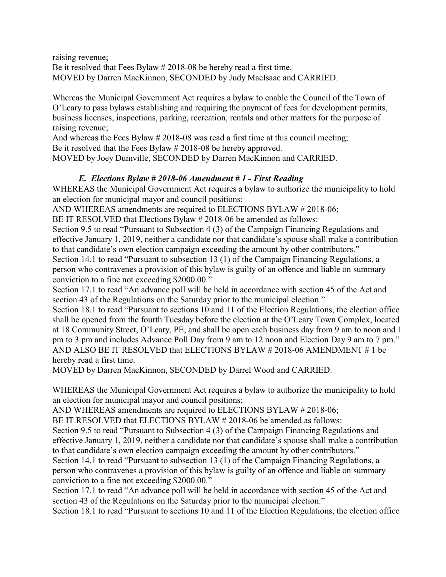raising revenue; Be it resolved that Fees Bylaw # 2018-08 be hereby read a first time. MOVED by Darren MacKinnon, SECONDED by Judy MacIsaac and CARRIED.

Whereas the Municipal Government Act requires a bylaw to enable the Council of the Town of O'Leary to pass bylaws establishing and requiring the payment of fees for development permits, business licenses, inspections, parking, recreation, rentals and other matters for the purpose of raising revenue;

And whereas the Fees Bylaw # 2018-08 was read a first time at this council meeting; Be it resolved that the Fees Bylaw # 2018-08 be hereby approved.

MOVED by Joey Dumville, SECONDED by Darren MacKinnon and CARRIED.

## *E. Elections Bylaw # 2018-06 Amendment # 1 - First Reading*

WHEREAS the Municipal Government Act requires a bylaw to authorize the municipality to hold an election for municipal mayor and council positions;

AND WHEREAS amendments are required to ELECTIONS BYLAW # 2018-06;

BE IT RESOLVED that Elections Bylaw # 2018-06 be amended as follows:

Section 9.5 to read "Pursuant to Subsection 4 (3) of the Campaign Financing Regulations and effective January 1, 2019, neither a candidate nor that candidate's spouse shall make a contribution to that candidate's own election campaign exceeding the amount by other contributors."

Section 14.1 to read "Pursuant to subsection 13 (1) of the Campaign Financing Regulations, a person who contravenes a provision of this bylaw is guilty of an offence and liable on summary conviction to a fine not exceeding \$2000.00."

Section 17.1 to read "An advance poll will be held in accordance with section 45 of the Act and section 43 of the Regulations on the Saturday prior to the municipal election."

Section 18.1 to read "Pursuant to sections 10 and 11 of the Election Regulations, the election office shall be opened from the fourth Tuesday before the election at the O'Leary Town Complex, located at 18 Community Street, O'Leary, PE, and shall be open each business day from 9 am to noon and 1 pm to 3 pm and includes Advance Poll Day from 9 am to 12 noon and Election Day 9 am to 7 pm." AND ALSO BE IT RESOLVED that ELECTIONS BYLAW # 2018-06 AMENDMENT # 1 be hereby read a first time.

MOVED by Darren MacKinnon, SECONDED by Darrel Wood and CARRIED.

WHEREAS the Municipal Government Act requires a bylaw to authorize the municipality to hold an election for municipal mayor and council positions;

AND WHEREAS amendments are required to ELECTIONS BYLAW # 2018-06;

BE IT RESOLVED that ELECTIONS BYLAW # 2018-06 be amended as follows:

Section 9.5 to read "Pursuant to Subsection 4 (3) of the Campaign Financing Regulations and effective January 1, 2019, neither a candidate nor that candidate's spouse shall make a contribution to that candidate's own election campaign exceeding the amount by other contributors."

Section 14.1 to read "Pursuant to subsection 13 (1) of the Campaign Financing Regulations, a person who contravenes a provision of this bylaw is guilty of an offence and liable on summary conviction to a fine not exceeding \$2000.00."

Section 17.1 to read "An advance poll will be held in accordance with section 45 of the Act and section 43 of the Regulations on the Saturday prior to the municipal election."

Section 18.1 to read "Pursuant to sections 10 and 11 of the Election Regulations, the election office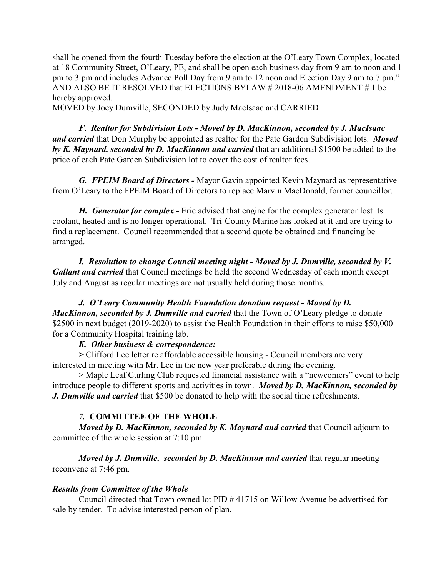shall be opened from the fourth Tuesday before the election at the O'Leary Town Complex, located at 18 Community Street, O'Leary, PE, and shall be open each business day from 9 am to noon and 1 pm to 3 pm and includes Advance Poll Day from 9 am to 12 noon and Election Day 9 am to 7 pm." AND ALSO BE IT RESOLVED that ELECTIONS BYLAW # 2018-06 AMENDMENT # 1 be hereby approved.

MOVED by Joey Dumville, SECONDED by Judy MacIsaac and CARRIED.

*F*. *Realtor for Subdivision Lots - Moved by D. MacKinnon, seconded by J. MacIsaac and carried* that Don Murphy be appointed as realtor for the Pate Garden Subdivision lots. *Moved by K. Maynard, seconded by D. MacKinnon and carried* that an additional \$1500 be added to the price of each Pate Garden Subdivision lot to cover the cost of realtor fees.

*G. FPEIM Board of Directors -* Mayor Gavin appointed Kevin Maynard as representative from O'Leary to the FPEIM Board of Directors to replace Marvin MacDonald, former councillor.

*H. Generator for complex -* Eric advised that engine for the complex generator lost its coolant, heated and is no longer operational. Tri-County Marine has looked at it and are trying to find a replacement. Council recommended that a second quote be obtained and financing be arranged.

*I. Resolution to change Council meeting night - Moved by J. Dumville, seconded by V. Gallant and carried* that Council meetings be held the second Wednesday of each month except July and August as regular meetings are not usually held during those months.

*J. O'Leary Community Health Foundation donation request - Moved by D. MacKinnon, seconded by J. Dumville and carried* that the Town of O'Leary pledge to donate \$2500 in next budget (2019-2020) to assist the Health Foundation in their efforts to raise \$50,000 for a Community Hospital training lab.

### *K. Other business & correspondence:*

*>* Clifford Lee letter re affordable accessible housing - Council members are very interested in meeting with Mr. Lee in the new year preferable during the evening.

> Maple Leaf Curling Club requested financial assistance with a "newcomers" event to help introduce people to different sports and activities in town. *Moved by D. MacKinnon, seconded by J. Dumville and carried* that \$500 be donated to help with the social time refreshments.

## *7.* **COMMITTEE OF THE WHOLE**

*Moved by D. MacKinnon, seconded by K. Maynard and carried* that Council adjourn to committee of the whole session at 7:10 pm.

*Moved by J. Dumville, seconded by D. MacKinnon and carried* that regular meeting reconvene at 7:46 pm.

## *Results from Committee of the Whole*

Council directed that Town owned lot PID # 41715 on Willow Avenue be advertised for sale by tender. To advise interested person of plan.